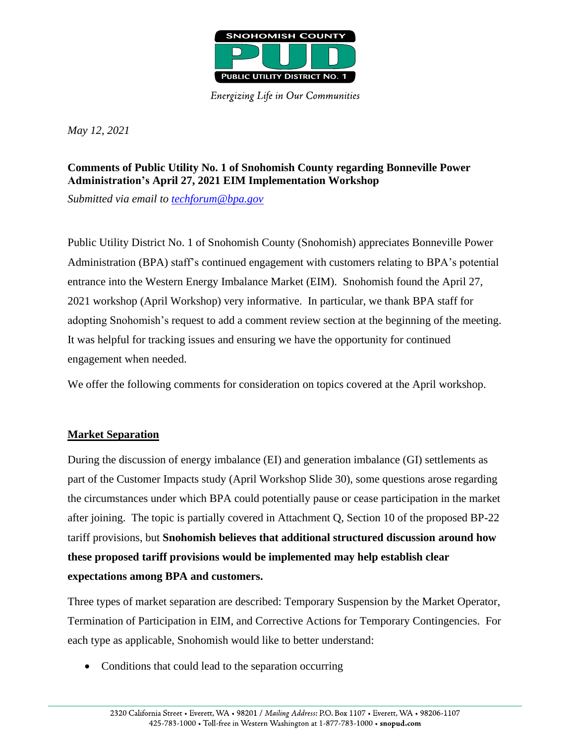

**Energizing Life in Our Communities** 

*May 12, 2021*

## **Comments of Public Utility No. 1 of Snohomish County regarding Bonneville Power Administration's April 27, 2021 EIM Implementation Workshop**

*Submitted via email to [techforum@bpa.gov](mailto:techforum@bpa.gov)*

Public Utility District No. 1 of Snohomish County (Snohomish) appreciates Bonneville Power Administration (BPA) staff's continued engagement with customers relating to BPA's potential entrance into the Western Energy Imbalance Market (EIM). Snohomish found the April 27, 2021 workshop (April Workshop) very informative. In particular, we thank BPA staff for adopting Snohomish's request to add a comment review section at the beginning of the meeting. It was helpful for tracking issues and ensuring we have the opportunity for continued engagement when needed.

We offer the following comments for consideration on topics covered at the April workshop.

## **Market Separation**

During the discussion of energy imbalance (EI) and generation imbalance (GI) settlements as part of the Customer Impacts study (April Workshop Slide 30), some questions arose regarding the circumstances under which BPA could potentially pause or cease participation in the market after joining. The topic is partially covered in Attachment Q, Section 10 of the proposed BP-22 tariff provisions, but **Snohomish believes that additional structured discussion around how these proposed tariff provisions would be implemented may help establish clear expectations among BPA and customers.**

Three types of market separation are described: Temporary Suspension by the Market Operator, Termination of Participation in EIM, and Corrective Actions for Temporary Contingencies. For each type as applicable, Snohomish would like to better understand:

• Conditions that could lead to the separation occurring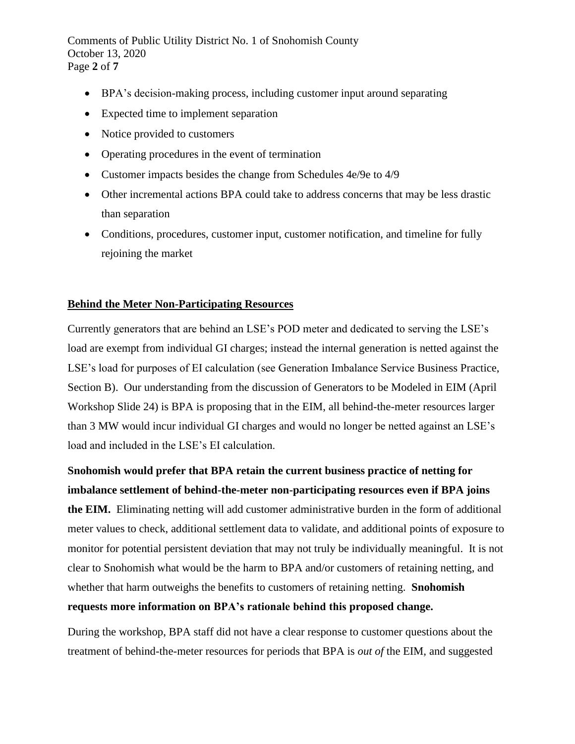Comments of Public Utility District No. 1 of Snohomish County October 13, 2020 Page **2** of **7**

- BPA's decision-making process, including customer input around separating
- Expected time to implement separation
- Notice provided to customers
- Operating procedures in the event of termination
- Customer impacts besides the change from Schedules 4e/9e to 4/9
- Other incremental actions BPA could take to address concerns that may be less drastic than separation
- Conditions, procedures, customer input, customer notification, and timeline for fully rejoining the market

### **Behind the Meter Non-Participating Resources**

Currently generators that are behind an LSE's POD meter and dedicated to serving the LSE's load are exempt from individual GI charges; instead the internal generation is netted against the LSE's load for purposes of EI calculation (see Generation Imbalance Service Business Practice, Section B). Our understanding from the discussion of Generators to be Modeled in EIM (April Workshop Slide 24) is BPA is proposing that in the EIM, all behind-the-meter resources larger than 3 MW would incur individual GI charges and would no longer be netted against an LSE's load and included in the LSE's EI calculation.

**Snohomish would prefer that BPA retain the current business practice of netting for imbalance settlement of behind-the-meter non-participating resources even if BPA joins** 

**the EIM.** Eliminating netting will add customer administrative burden in the form of additional meter values to check, additional settlement data to validate, and additional points of exposure to monitor for potential persistent deviation that may not truly be individually meaningful. It is not clear to Snohomish what would be the harm to BPA and/or customers of retaining netting, and whether that harm outweighs the benefits to customers of retaining netting. **Snohomish requests more information on BPA's rationale behind this proposed change.**

During the workshop, BPA staff did not have a clear response to customer questions about the treatment of behind-the-meter resources for periods that BPA is *out of* the EIM, and suggested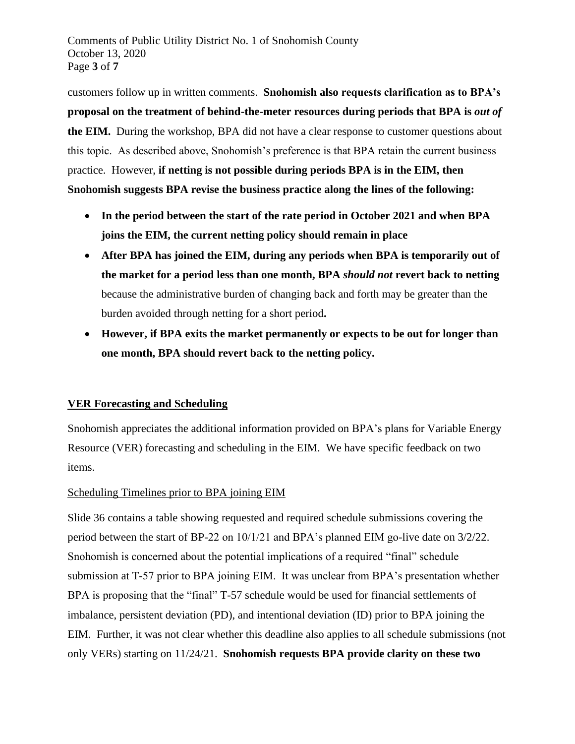Comments of Public Utility District No. 1 of Snohomish County October 13, 2020 Page **3** of **7**

customers follow up in written comments. **Snohomish also requests clarification as to BPA's proposal on the treatment of behind-the-meter resources during periods that BPA is** *out of* **the EIM.** During the workshop, BPA did not have a clear response to customer questions about this topic. As described above, Snohomish's preference is that BPA retain the current business practice. However, **if netting is not possible during periods BPA is in the EIM, then Snohomish suggests BPA revise the business practice along the lines of the following:**

- **In the period between the start of the rate period in October 2021 and when BPA joins the EIM, the current netting policy should remain in place**
- **After BPA has joined the EIM, during any periods when BPA is temporarily out of the market for a period less than one month, BPA** *should not* **revert back to netting**  because the administrative burden of changing back and forth may be greater than the burden avoided through netting for a short period**.**
- **However, if BPA exits the market permanently or expects to be out for longer than one month, BPA should revert back to the netting policy.**

## **VER Forecasting and Scheduling**

Snohomish appreciates the additional information provided on BPA's plans for Variable Energy Resource (VER) forecasting and scheduling in the EIM. We have specific feedback on two items.

### Scheduling Timelines prior to BPA joining EIM

Slide 36 contains a table showing requested and required schedule submissions covering the period between the start of BP-22 on 10/1/21 and BPA's planned EIM go-live date on 3/2/22. Snohomish is concerned about the potential implications of a required "final" schedule submission at T-57 prior to BPA joining EIM. It was unclear from BPA's presentation whether BPA is proposing that the "final" T-57 schedule would be used for financial settlements of imbalance, persistent deviation (PD), and intentional deviation (ID) prior to BPA joining the EIM. Further, it was not clear whether this deadline also applies to all schedule submissions (not only VERs) starting on 11/24/21. **Snohomish requests BPA provide clarity on these two**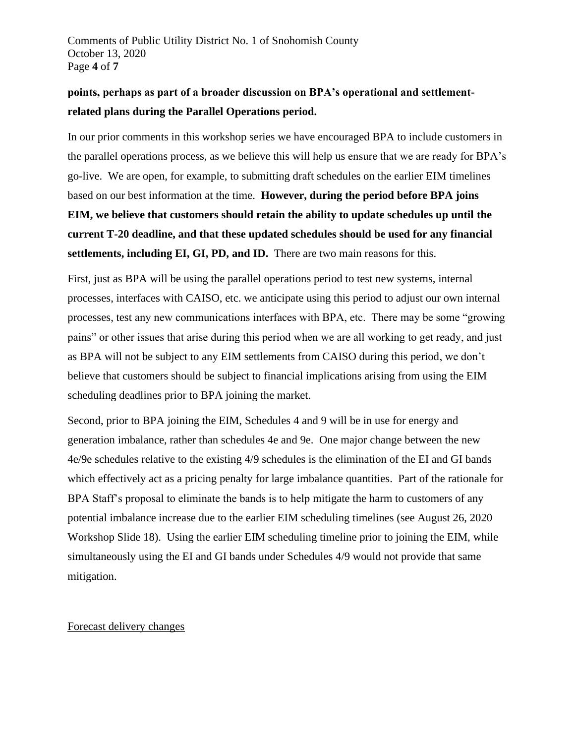Comments of Public Utility District No. 1 of Snohomish County October 13, 2020 Page **4** of **7**

# **points, perhaps as part of a broader discussion on BPA's operational and settlementrelated plans during the Parallel Operations period.**

In our prior comments in this workshop series we have encouraged BPA to include customers in the parallel operations process, as we believe this will help us ensure that we are ready for BPA's go-live. We are open, for example, to submitting draft schedules on the earlier EIM timelines based on our best information at the time. **However, during the period before BPA joins EIM, we believe that customers should retain the ability to update schedules up until the current T-20 deadline, and that these updated schedules should be used for any financial settlements, including EI, GI, PD, and ID.** There are two main reasons for this.

First, just as BPA will be using the parallel operations period to test new systems, internal processes, interfaces with CAISO, etc. we anticipate using this period to adjust our own internal processes, test any new communications interfaces with BPA, etc. There may be some "growing pains" or other issues that arise during this period when we are all working to get ready, and just as BPA will not be subject to any EIM settlements from CAISO during this period, we don't believe that customers should be subject to financial implications arising from using the EIM scheduling deadlines prior to BPA joining the market.

Second, prior to BPA joining the EIM, Schedules 4 and 9 will be in use for energy and generation imbalance, rather than schedules 4e and 9e. One major change between the new 4e/9e schedules relative to the existing 4/9 schedules is the elimination of the EI and GI bands which effectively act as a pricing penalty for large imbalance quantities. Part of the rationale for BPA Staff's proposal to eliminate the bands is to help mitigate the harm to customers of any potential imbalance increase due to the earlier EIM scheduling timelines (see August 26, 2020 Workshop Slide 18). Using the earlier EIM scheduling timeline prior to joining the EIM, while simultaneously using the EI and GI bands under Schedules 4/9 would not provide that same mitigation.

### Forecast delivery changes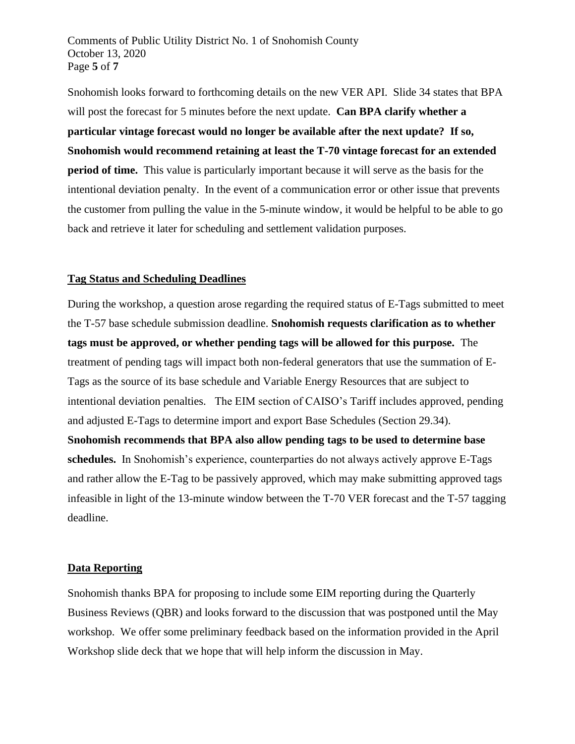Comments of Public Utility District No. 1 of Snohomish County October 13, 2020 Page **5** of **7**

Snohomish looks forward to forthcoming details on the new VER API. Slide 34 states that BPA will post the forecast for 5 minutes before the next update. **Can BPA clarify whether a particular vintage forecast would no longer be available after the next update? If so, Snohomish would recommend retaining at least the T-70 vintage forecast for an extended period of time.** This value is particularly important because it will serve as the basis for the intentional deviation penalty. In the event of a communication error or other issue that prevents the customer from pulling the value in the 5-minute window, it would be helpful to be able to go back and retrieve it later for scheduling and settlement validation purposes.

#### **Tag Status and Scheduling Deadlines**

During the workshop, a question arose regarding the required status of E-Tags submitted to meet the T-57 base schedule submission deadline. **Snohomish requests clarification as to whether tags must be approved, or whether pending tags will be allowed for this purpose.** The treatment of pending tags will impact both non-federal generators that use the summation of E-Tags as the source of its base schedule and Variable Energy Resources that are subject to intentional deviation penalties. The EIM section of CAISO's Tariff includes approved, pending and adjusted E-Tags to determine import and export Base Schedules (Section 29.34). **Snohomish recommends that BPA also allow pending tags to be used to determine base schedules.** In Snohomish's experience, counterparties do not always actively approve E-Tags and rather allow the E-Tag to be passively approved, which may make submitting approved tags infeasible in light of the 13-minute window between the T-70 VER forecast and the T-57 tagging deadline.

#### **Data Reporting**

Snohomish thanks BPA for proposing to include some EIM reporting during the Quarterly Business Reviews (QBR) and looks forward to the discussion that was postponed until the May workshop. We offer some preliminary feedback based on the information provided in the April Workshop slide deck that we hope that will help inform the discussion in May.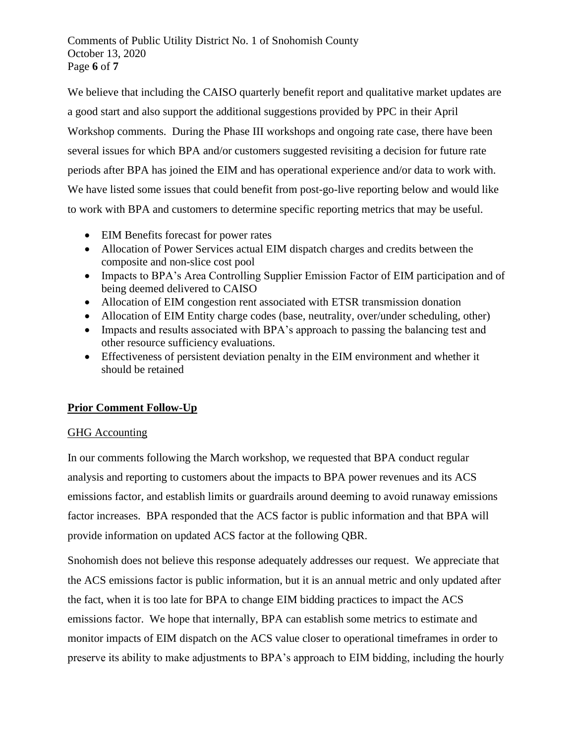Comments of Public Utility District No. 1 of Snohomish County October 13, 2020 Page **6** of **7**

We believe that including the CAISO quarterly benefit report and qualitative market updates are a good start and also support the additional suggestions provided by PPC in their April Workshop comments. During the Phase III workshops and ongoing rate case, there have been several issues for which BPA and/or customers suggested revisiting a decision for future rate periods after BPA has joined the EIM and has operational experience and/or data to work with. We have listed some issues that could benefit from post-go-live reporting below and would like to work with BPA and customers to determine specific reporting metrics that may be useful.

- EIM Benefits forecast for power rates
- Allocation of Power Services actual EIM dispatch charges and credits between the composite and non-slice cost pool
- Impacts to BPA's Area Controlling Supplier Emission Factor of EIM participation and of being deemed delivered to CAISO
- Allocation of EIM congestion rent associated with ETSR transmission donation
- Allocation of EIM Entity charge codes (base, neutrality, over/under scheduling, other)
- Impacts and results associated with BPA's approach to passing the balancing test and other resource sufficiency evaluations.
- Effectiveness of persistent deviation penalty in the EIM environment and whether it should be retained

## **Prior Comment Follow-Up**

### GHG Accounting

In our comments following the March workshop, we requested that BPA conduct regular analysis and reporting to customers about the impacts to BPA power revenues and its ACS emissions factor, and establish limits or guardrails around deeming to avoid runaway emissions factor increases. BPA responded that the ACS factor is public information and that BPA will provide information on updated ACS factor at the following QBR.

Snohomish does not believe this response adequately addresses our request. We appreciate that the ACS emissions factor is public information, but it is an annual metric and only updated after the fact, when it is too late for BPA to change EIM bidding practices to impact the ACS emissions factor. We hope that internally, BPA can establish some metrics to estimate and monitor impacts of EIM dispatch on the ACS value closer to operational timeframes in order to preserve its ability to make adjustments to BPA's approach to EIM bidding, including the hourly